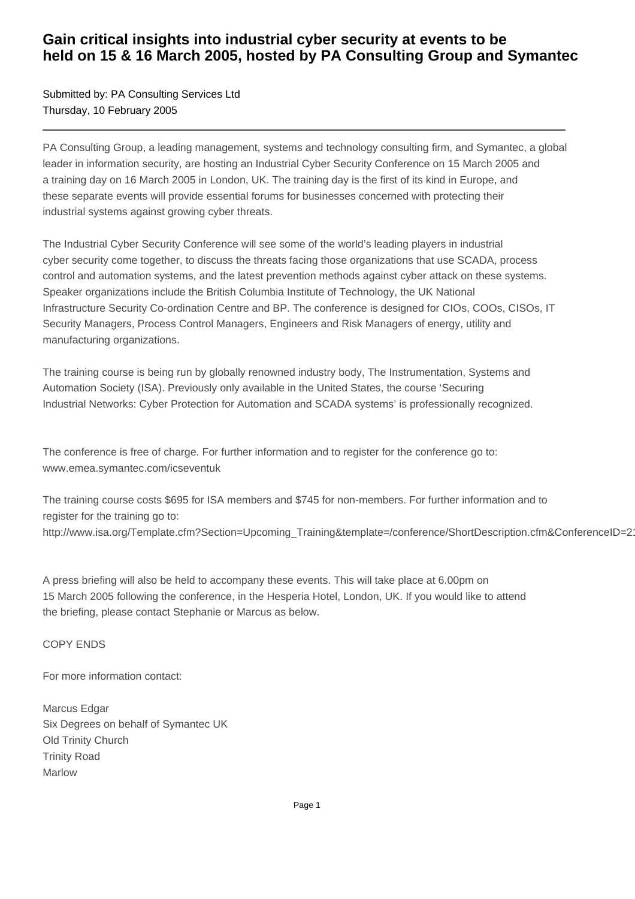# **Gain critical insights into industrial cyber security at events to be held on 15 & 16 March 2005, hosted by PA Consulting Group and Symantec**

Submitted by: PA Consulting Services Ltd Thursday, 10 February 2005

PA Consulting Group, a leading management, systems and technology consulting firm, and Symantec, a global leader in information security, are hosting an Industrial Cyber Security Conference on 15 March 2005 and a training day on 16 March 2005 in London, UK. The training day is the first of its kind in Europe, and these separate events will provide essential forums for businesses concerned with protecting their industrial systems against growing cyber threats.

The Industrial Cyber Security Conference will see some of the world's leading players in industrial cyber security come together, to discuss the threats facing those organizations that use SCADA, process control and automation systems, and the latest prevention methods against cyber attack on these systems. Speaker organizations include the British Columbia Institute of Technology, the UK National Infrastructure Security Co-ordination Centre and BP. The conference is designed for CIOs, COOs, CISOs, IT Security Managers, Process Control Managers, Engineers and Risk Managers of energy, utility and manufacturing organizations.

The training course is being run by globally renowned industry body, The Instrumentation, Systems and Automation Society (ISA). Previously only available in the United States, the course 'Securing Industrial Networks: Cyber Protection for Automation and SCADA systems' is professionally recognized.

The conference is free of charge. For further information and to register for the conference go to: www.emea.symantec.com/icseventuk

The training course costs \$695 for ISA members and \$745 for non-members. For further information and to register for the training go to: http://www.isa.org/Template.cfm?Section=Upcoming\_Training&template=/conference/ShortDescription.cfm&ConferenceID=21

A press briefing will also be held to accompany these events. This will take place at 6.00pm on 15 March 2005 following the conference, in the Hesperia Hotel, London, UK. If you would like to attend the briefing, please contact Stephanie or Marcus as below.

COPY ENDS

For more information contact:

Marcus Edgar Six Degrees on behalf of Symantec UK Old Trinity Church Trinity Road Marlow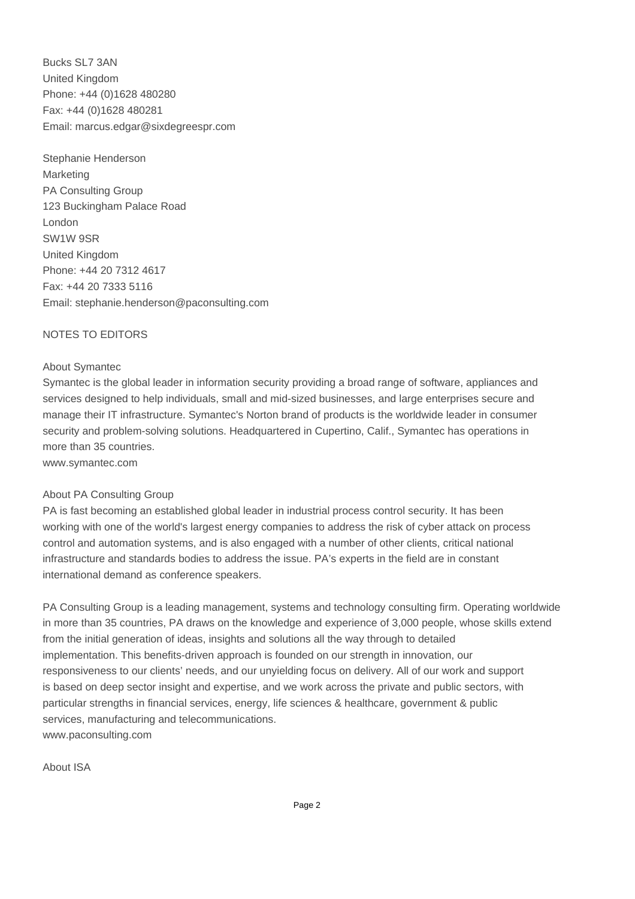Bucks SL7 3AN United Kingdom Phone: +44 (0)1628 480280 Fax: +44 (0)1628 480281 Email: marcus.edgar@sixdegreespr.com

Stephanie Henderson Marketing PA Consulting Group 123 Buckingham Palace Road London SW1W 9SR United Kingdom Phone: +44 20 7312 4617 Fax: +44 20 7333 5116 Email: stephanie.henderson@paconsulting.com 

## NOTES TO EDITORS

#### About Symantec

Symantec is the global leader in information security providing a broad range of software, appliances and services designed to help individuals, small and mid-sized businesses, and large enterprises secure and manage their IT infrastructure. Symantec's Norton brand of products is the worldwide leader in consumer security and problem-solving solutions. Headquartered in Cupertino, Calif., Symantec has operations in more than 35 countries.

www.symantec.com

### About PA Consulting Group

PA is fast becoming an established global leader in industrial process control security. It has been working with one of the world's largest energy companies to address the risk of cyber attack on process control and automation systems, and is also engaged with a number of other clients, critical national infrastructure and standards bodies to address the issue. PA's experts in the field are in constant international demand as conference speakers.

PA Consulting Group is a leading management, systems and technology consulting firm. Operating worldwide in more than 35 countries, PA draws on the knowledge and experience of 3,000 people, whose skills extend from the initial generation of ideas, insights and solutions all the way through to detailed implementation. This benefits-driven approach is founded on our strength in innovation, our responsiveness to our clients' needs, and our unyielding focus on delivery. All of our work and support is based on deep sector insight and expertise, and we work across the private and public sectors, with particular strengths in financial services, energy, life sciences & healthcare, government & public services, manufacturing and telecommunications. www.paconsulting.com

About ISA